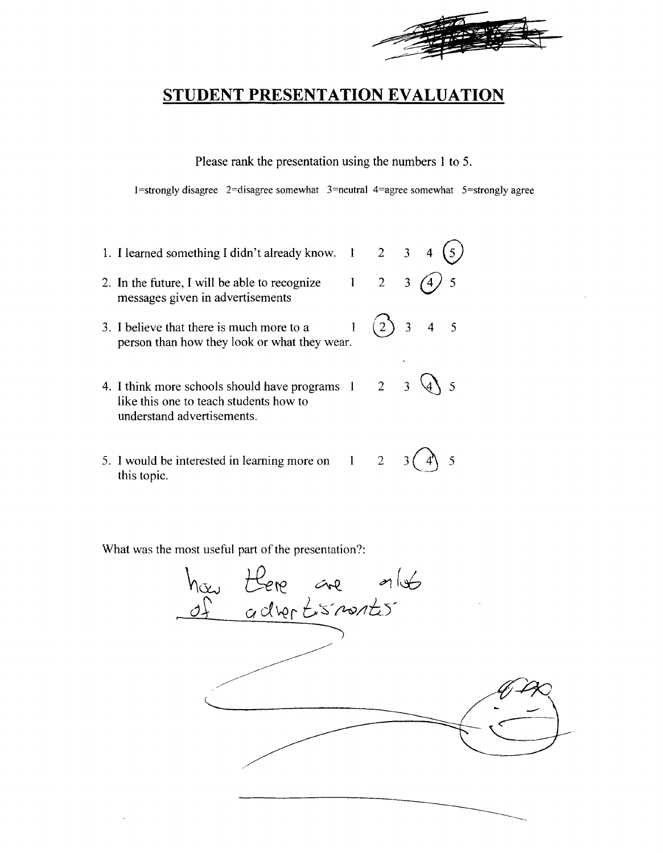

Please rank the presentation using the numbers 1 to 5.

 $1$ =strongly disagree  $2$ =disagree somewhat  $3$ =neutral 4=agree somewhat  $5$ =strongly agree

- 1. I learned something I didn't already know.  $1 \quad 2 \quad 3$
- 2. In the future, I will be able to recognize  $\begin{pmatrix} 1 & 2 & 3 \end{pmatrix}$  (4) 5 messages given in advertisements
- 3. I believe that there is much more to a  $(2)$  3 4 5 person than how they look or what they wear.
- 4. I think more schools should have programs  $1 \quad 2 \quad 3 \quad 4$  5 like this one to teach students how to understand advertisements.
- 5. I would be interested in learning more on  $1 \quad 2 \quad 3 \quad 4 \quad 5$ this topic.

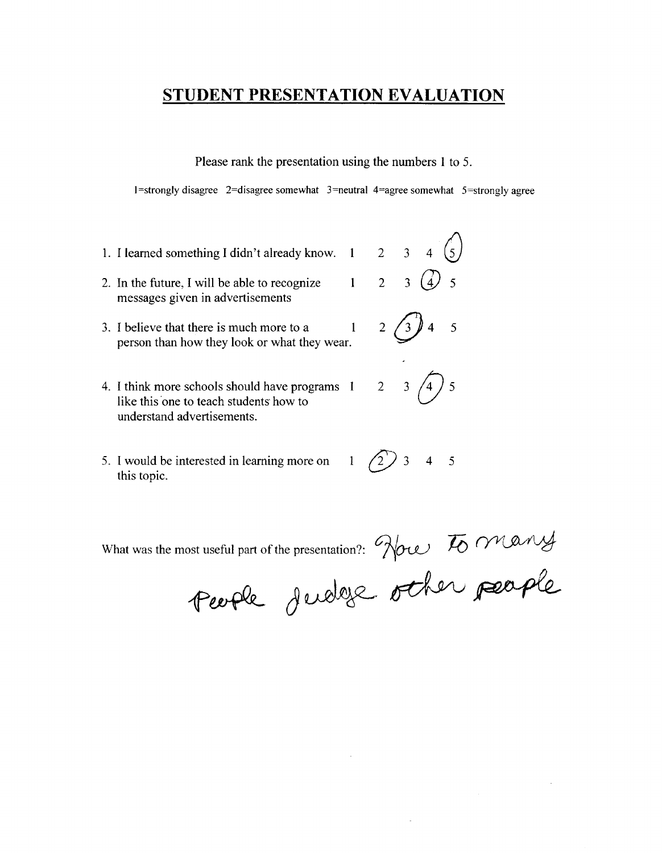Please rank the presentation using the numbers 1 to 5.

 $1$ =strongly disagree  $2$ =disagree somewhat  $3$ =neutral  $4$ =agree somewhat  $5$ =strongly agree

- 1. I learned something I didn't already know.  $1 \quad 2 \quad 3 \quad 4 \quad (5)$
- 2. In the future, I will be able to recognize  $1 \quad 2 \quad 3 \quad (4) \quad 5$ messages given in advertisements
- 3. I believe that there is much more to a  $1 \t 2 \t 3 \t 4 \t 5$ person than how they look or what they wear.
- 4. I think more schools should have programs  $1 \t 2 \t 3 \t 4 \t 5$  like this one to teach students how to understand advertisements.
- 5. I would be interested in learning more on  $\left( \begin{array}{cc} 1 & \sqrt{2} \end{array} \right)$  3 4 5 this topic.

- 
- 

What was the most useful part of the presentation?: Now To many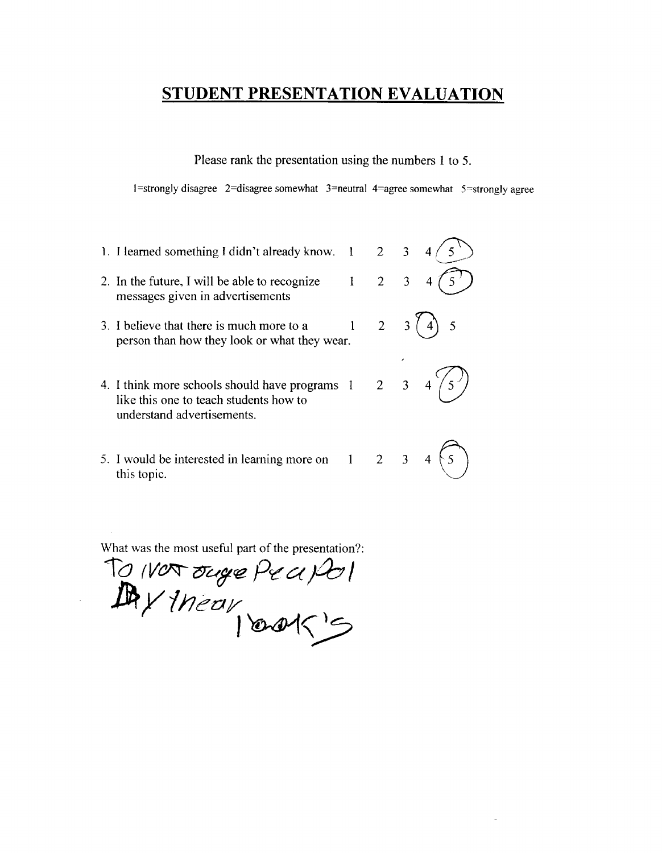Please rank the presentation using the numbers 1 to 5.

1=strongly disagree 2=disagree somewhat  $3$ =neutral 4=agree somewhat  $5$ =strongly agree

1. I learned something I didn't already know.  $1 \quad 2 \quad 3$ 2. In the future, I will be able to recognize  $1 \quad 2 \quad 3$ messages given in advertisements 3. I believe that there is much more to a  $1 \quad 2 \quad 3 \quad (4) \quad 5$ person than how they look or what they wear. 4. I think more schools should have programs 1 2 3<br>like this one to teach students how to understand advertisements. 5. I would be interested in learning more on 1 2 3 this topic.

 $10$  *(VO*T ouge  $Pe$  a  $|P$  $L$ g/*Inear*  $|$  and  $\leq$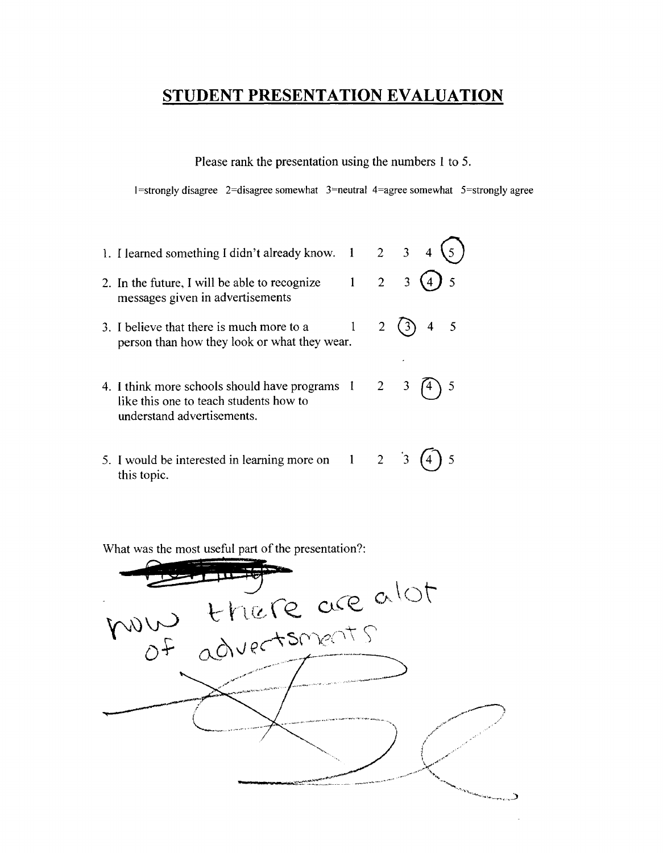Please rank the presentation using the numbers 1 to 5.

 $1 =$ strongly disagree  $2 =$ disagree somewhat  $3 =$ neutral  $4 =$ agree somewhat  $5 =$ strongly agree

1. I learned something I didn't already know.  $1 \quad 2 \quad 3$ 2. In the future, I will be able to recognize  $1 \quad 2 \quad 3 \tag{4}$ messages given in advertisements 3. I believe that there is much more to a  $1 \quad 2 \quad (3)$  4 5 person than how they look or what they wear. 4. I think more schools should have programs  $1 \quad 2 \quad 3 \quad \widehat{A}$  5 like this one to teach students how to understand advertisements. 5. I would be interested in learning more on 1 2 <sup>3</sup> (4) 5

What was the most useful part of the presentation?:

this topic.

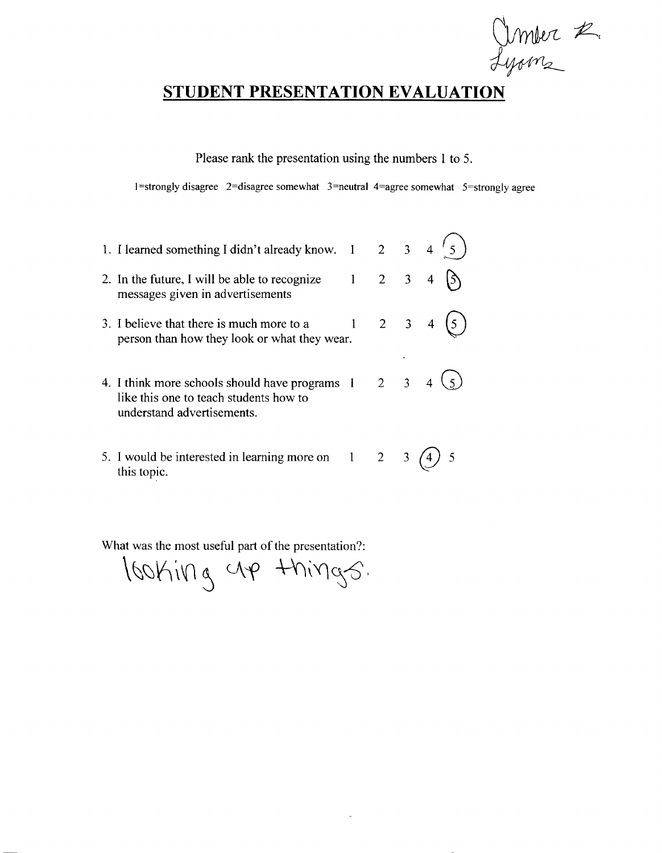Univer 2. Lyons

╮

## **STUDENT PRESENTATION EVALUATION**

Please rank the presentation using the numbers I to 5.

 $1$ =strongly disagree 2=disagree somewhat 3=neutral 4=agree somewhat 5=strongly agree

J,

| 1. I learned something I didn't already know. 1 2 3 4                                                                  |                     |   |   |
|------------------------------------------------------------------------------------------------------------------------|---------------------|---|---|
| 2. In the future, I will be able to recognize<br>messages given in advertisements                                      | $1 \quad 2 \quad 3$ |   | 4 |
| 3. I believe that there is much more to a<br>person than how they look or what they wear.                              | $2 \quad 3 \quad 4$ |   |   |
| 4. I think more schools should have programs 1<br>like this one to teach students how to<br>understand advertisements. | $2 \quad 3$         |   |   |
| 5. I would be interested in learning more on $1 \ 2$<br>this topic.                                                    |                     | 3 |   |

 $\,$ lboking up things.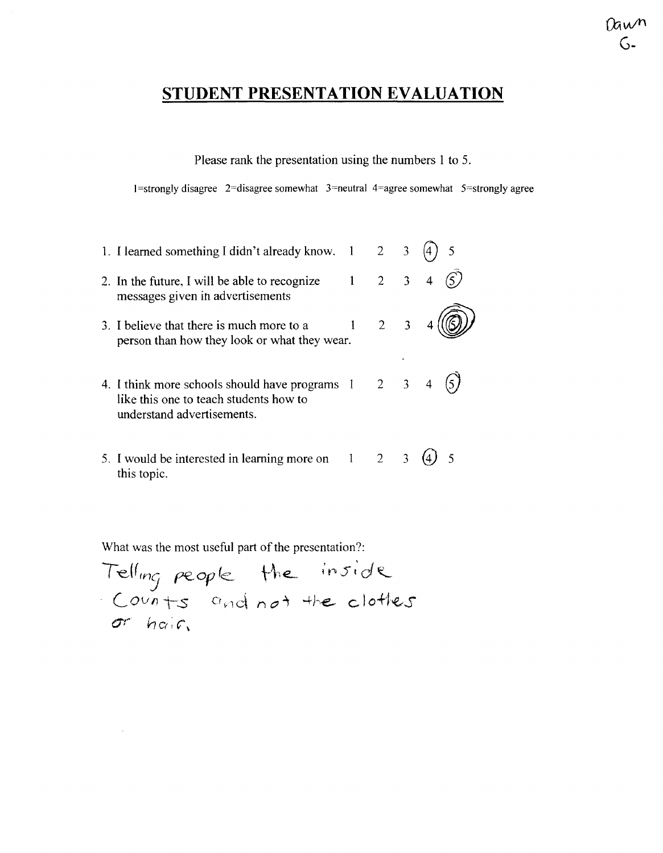nun

Please rank the presentation using the numbers 1 to 5.

 $1 =$ strongly disagree  $2 =$ disagree somewhat  $3 =$ neutral  $4 =$ agree somewhat  $5 =$ strongly agree

1. I learned something I didn't already know.  $1 \quad 2 \quad 3 \quad (4) \quad 5$ 2. In the future, I will be able to recognize  $1 \quad 2 \quad 3 \quad 4 \quad (\overrightarrow{5})$ messages given in advertisements 2 3 4  $(\circled{9})$  $\mathbf{1}$ 3. I believe that there is much more to a person than how they look or what they wear. 4. I think more schools should have programs  $1 \quad 2 \quad 3 \quad 4 \quad (5)$ like this one to teach students how to understand advertisements. 5. I would be interested in learning more on  $1 \quad 2 \quad 3 \quad (4)$  5 this topic.

( -eJ *(W15* f"€.-*OfY* (e. \-\-\ €..- ; p 5 ; d <sup>~</sup> LOUfli--s o~ld ilO~ 4he.. clo+he .. s O'r h c(; C"\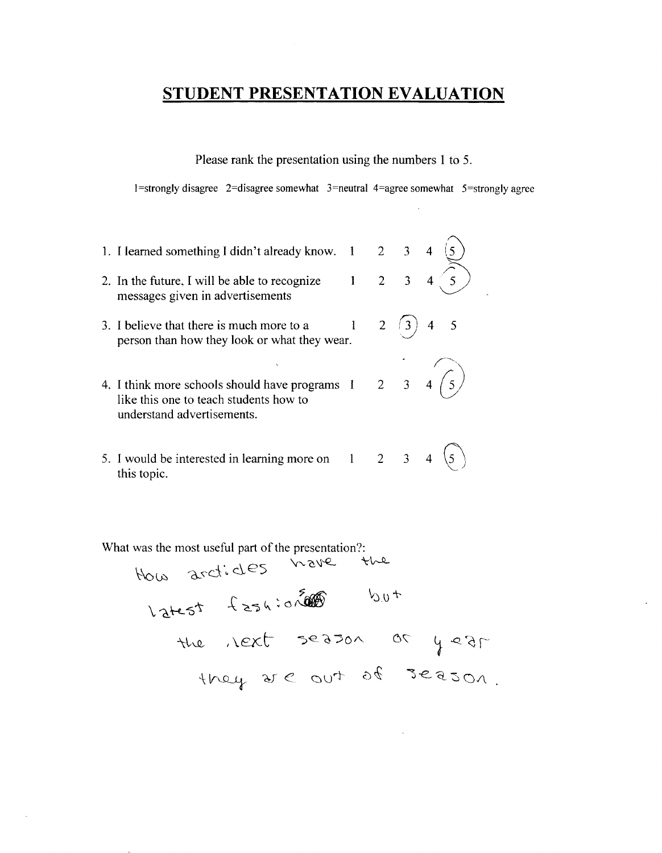Please rank the presentation using the numbers 1 to 5.

 $1$ =strongly disagree 2=disagree somewhat 3=neutral 4=agree somewhat 5=strongly agree

1. I learned something I didn't already know. 1 2 3 2. In the future, I will be able to recognize  $1 \quad 2 \quad 3 \quad 4$ messages given in advertisements 3. I believe that there is much more to a  $1 \t 2 \t 3 \t 4 \t 5$ person than how they look or what they wear. 4. I think more schools should have programs 1 2 3 like this one to teach students how to understand advertisements. 5. I would be interested in learning more on  $1 \quad 2 \quad 3$  $3 \quad 4 \quad (5)$ this topic.

What was the most useful part of the presentation?:<br> $\frac{1}{2}$ 

o...,\,d·, des \.r.., c \l'-Q.. "\-'~ -\'c.~~~o~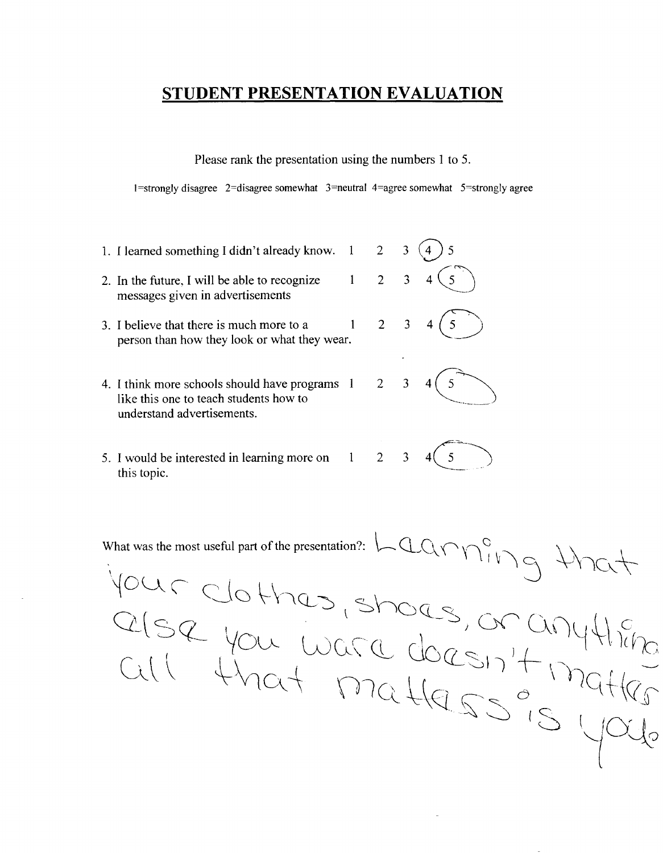Please rank the presentation using the numbers 1 to 5.

I=strongly disagree 2=disagree somewhat  $3=$ neutral 4=agree somewhat  $5=$ strongly agree

- 1. I learned something I didn't already know.  $1 \quad 2 \quad 3 \ (4) \ 5$ 2. In the future, I will be able to recognize  $1 \quad 2 \quad 3 \quad 4 \quad 5$ messages given in advertisements messages given in advertisements<br>3. I believe that there is much more to a  $1 \t 2 \t 3 \t 4 \t 5$ <br>person than how they look or what they wear.
- 
- 4. I think more schools should have programs  $1 \quad 2 \quad 3 \quad 4 \quad 5$ <br>like this one to teach students how to understand advertisements.
- 5. I would be interested in learning more on 1 2 3 4  $\begin{pmatrix} 5 \\ 5 \end{pmatrix}$  this topic.



What was the most useful part of the presentation?: Lagring that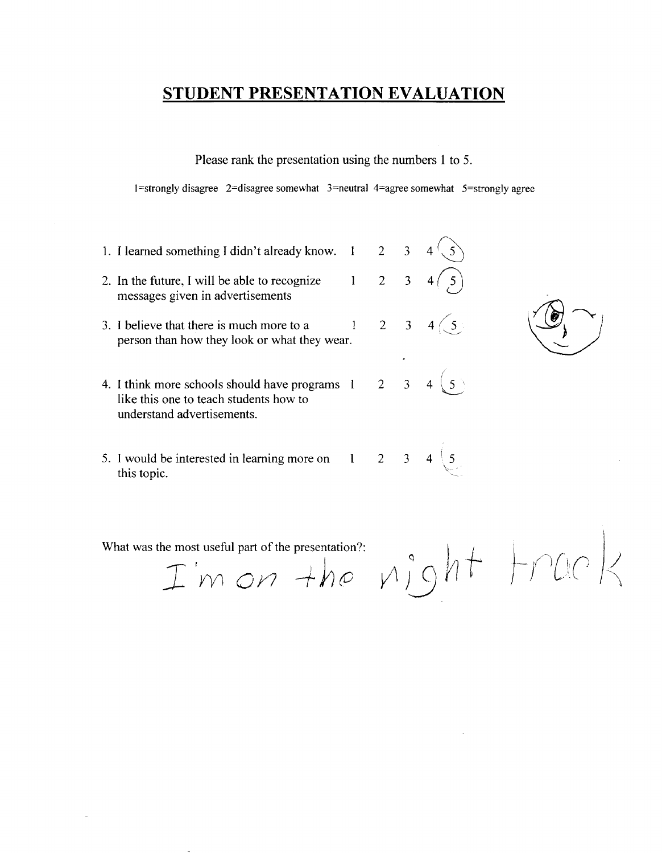Please rank the presentation using the numbers 1 to 5.

1 =strongly disagree 2=disagree somewhat 3=neutral 4=agree somewhat 5=strongly agree

- 1. I learned something I didn't already know.  $1 \quad 2 \quad 3$ 2. In the future, I will be able to recognize  $1 \quad 2 \quad 3$ messages given in advertisements  $\frac{1}{2}$ 3. I believe that there is much more to a  $\begin{array}{cccc} 1 & 2 & 3 & 4 \end{array}$ person than how they look or what they wear.
- 4. I think more schools should have programs  $1 \quad 2 \quad 3 \quad 4 \leq 5$ like this one to teach students how to understand advertisements.
- 5. I would be interested in learning more on  $1 \t 2 \t 3$ this topic.

What was the most useful part of the presentation?:  $I$ 'm on the vight  $\vdash$ rack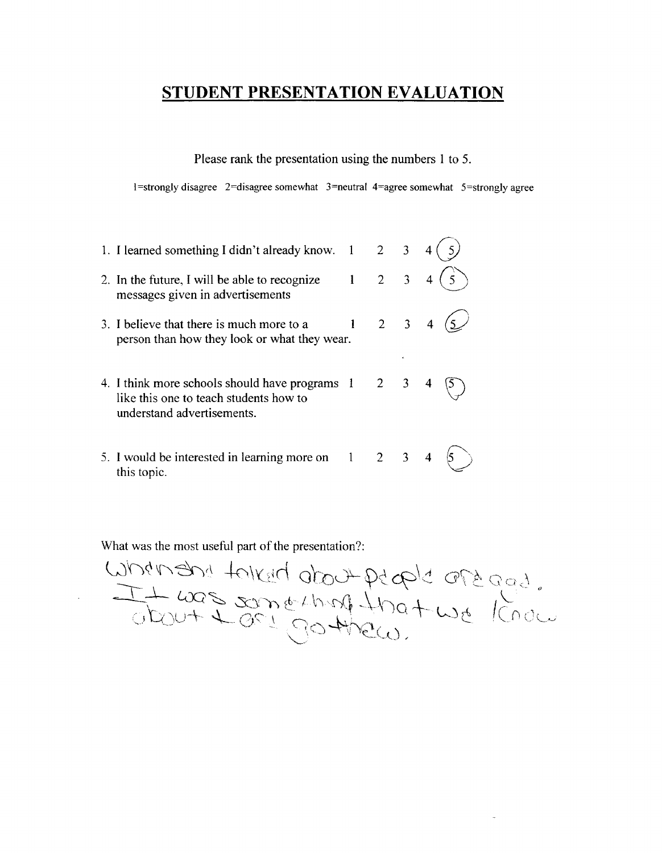Please rank the presentation using the numbers 1 to 5.

 $1 =$ strongly disagree  $2 =$ disagree somewhat  $3 =$ neutral  $4 =$ agree somewhat  $5 =$ strongly agree

|             | 1. I learned something I didn't already know.                                                                          |              | $2 \quad 3$         |  |
|-------------|------------------------------------------------------------------------------------------------------------------------|--------------|---------------------|--|
|             | 2. In the future, I will be able to recognize<br>messages given in advertisements                                      | $\mathbf{1}$ | $2 \quad 3$         |  |
|             | 3. I believe that there is much more to a<br>person than how they look or what they wear.                              |              | $2 \quad 3 \quad 4$ |  |
|             | 4. I think more schools should have programs 1<br>like this one to teach students how to<br>understand advertisements. |              | $2 \quad 3$         |  |
| this topic. | 5. I would be interested in learning more on $1 \t 2 \t 3$                                                             |              |                     |  |

What was the most useful part of the presentation?:<br>
What was the most useful part of the presentation?:<br>
Under the second that the second through the lond was longed.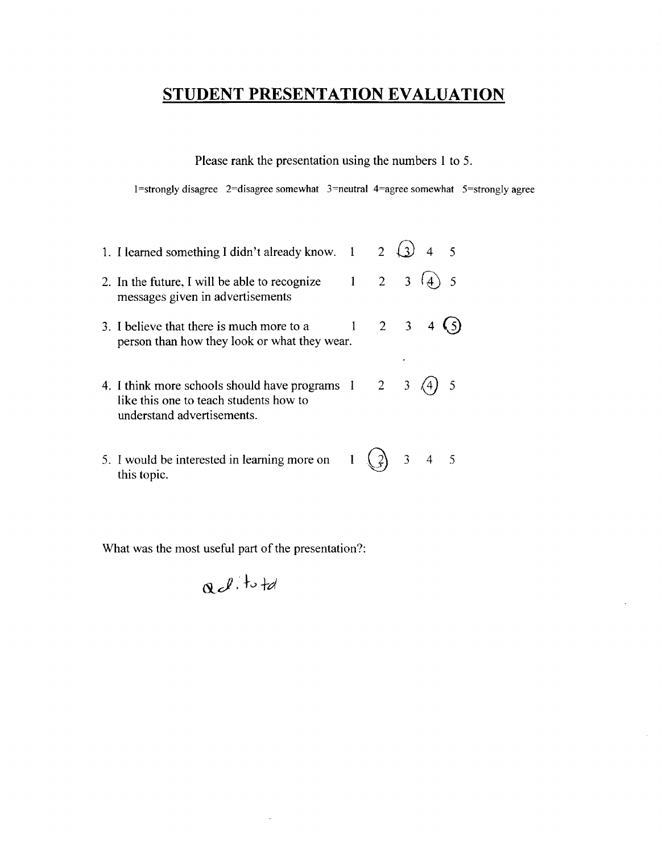Please rank the presentation using the numbers 1 to 5.

1 =strongly disagree 2=disagree somewhat 3=neutral 4=agree somewhat 5=strongly agree

| 1. I learned something I didn't already know. 1                                                                        | 2 <sup>1</sup> |                |  |
|------------------------------------------------------------------------------------------------------------------------|----------------|----------------|--|
| 2. In the future, I will be able to recognize<br>messages given in advertisements                                      | $2^{\circ}$    | 3 <sup>1</sup> |  |
| 3. I believe that there is much more to a<br>person than how they look or what they wear.                              | $2 \quad 3$    |                |  |
| 4. I think more schools should have programs 1<br>like this one to teach students how to<br>understand advertisements. | $\overline{2}$ | $\overline{3}$ |  |
| 5. I would be interested in learning more on<br>this topic.                                                            |                | $3 \quad 4$    |  |

What was the most useful part of the presentation?:

i,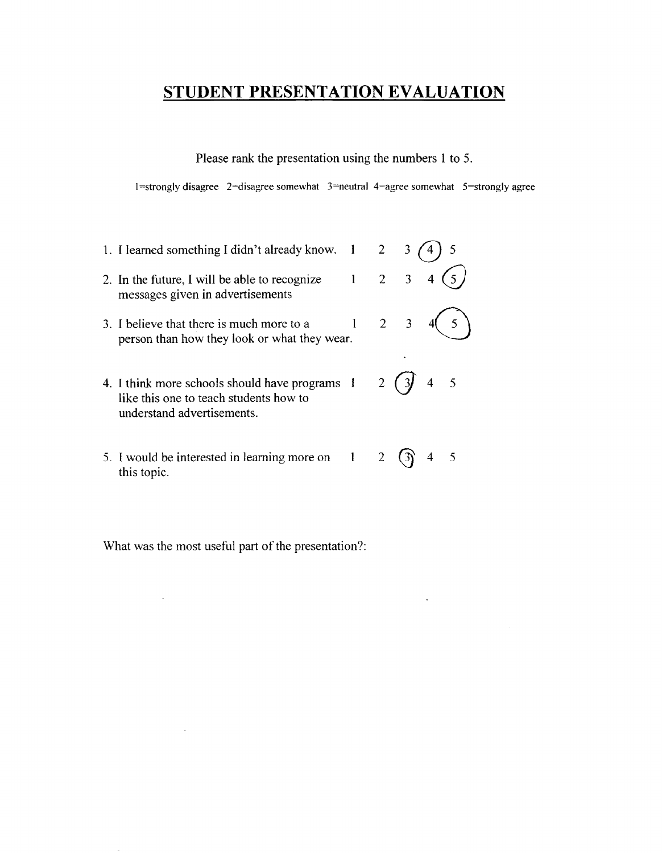Please rank the presentation using the numbers 1 to 5.

 $1 =$ strongly disagree  $2 =$ disagree somewhat  $3 =$ neutral  $4 =$ agree somewhat  $5 =$ strongly agree

1. I learned something I didn't already know.  $1 \quad 2 \quad 3 \quad (4) \quad 5$ 2 3 4  $\bigcirc$ 2. **In** the future, I will be able to recognize  $\mathbf{1}$ messages given in advertisements 3. I believe that there is much more to a  $1 \quad 2 \quad 3 \quad 4 \choose 5$  person than how they look or what they wear. 4. I think more schools should have programs  $1 \quad 2 \quad (3) \quad 4 \quad 5$ like this one to teach students how to understand advertisements. 5. I would be interested in learning more on  $1 \quad 2 \quad \textcircled{3}$  4 5

What was the most useful part of the presentation?:

this topic.

J.

 $\mathcal{L}$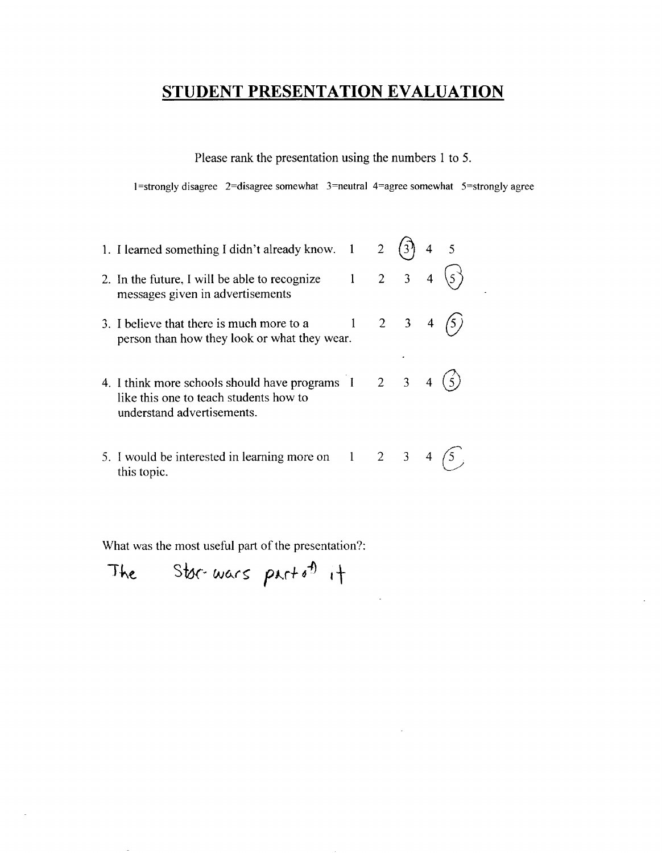Please rank the presentation using the numbers 1 to 5.

1=strongly disagree 2=disagree somewhat  $3$ =neutral 4=agree somewhat  $5$ =strongly agree

 $\downarrow$ 

| 1. I learned something I didn't already know. 1                                                                              |              | $\overline{2}$ |                     |  |
|------------------------------------------------------------------------------------------------------------------------------|--------------|----------------|---------------------|--|
| 2. In the future, I will be able to recognize<br>messages given in advertisements                                            |              |                | $2 \t3 \t4$         |  |
| 3. I believe that there is much more to a<br>person than how they look or what they wear.                                    | $\mathbf{1}$ |                | $2 \quad 3 \quad 4$ |  |
| 4. I think more schools should have programs 1 2 3 4<br>like this one to teach students how to<br>understand advertisements. |              |                |                     |  |
| 5. I would be interested in learning more on $1 \t 2 \t 3$<br>this topic.                                                    |              |                |                     |  |

What was the most useful part of the presentation?:

The Stor-wars part of it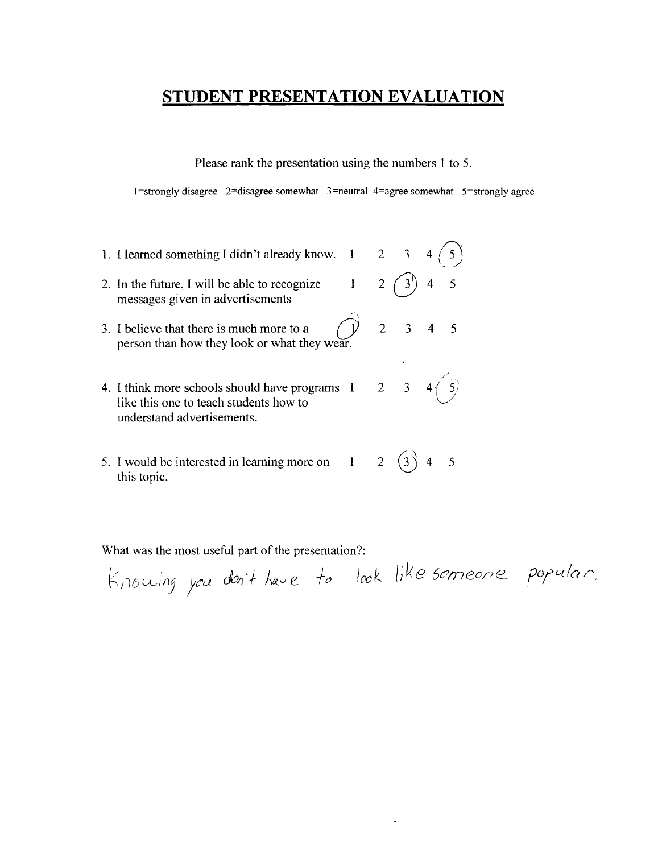Please rank the presentation using the numbers 1 to 5.

I=strongly disagree 2=disagree somewhat 3=neutral 4=agree somewhat 5=stronglyagree

 $\tilde{\phantom{a}}$ 

,,-

- 1. I learned something I didn't already know.  $1 \, 2 \, 3$ 2. In the future, I will be able to recognize  $1 \quad 2 \quad 3^{\dagger}$  4 5
- messages given in advertisements
- 3. I believe that there is much more to a  $\begin{pmatrix} 1 & 2 & 3 & 4 & 5 \end{pmatrix}$ person than how they look or what they wear.
- 4. I think more schools should have programs  $1 \quad 2 \quad 3 \quad 4 \quad \boxed{5}$ <br>like this one to teach students how to 3 4 $(5)$ understand advertisements.
- 5. I would be interested in learning more on  $1 \quad 2 \quad (3)$  4 5 this topic.

 $|c_{\alpha k}|$  like semeone popular.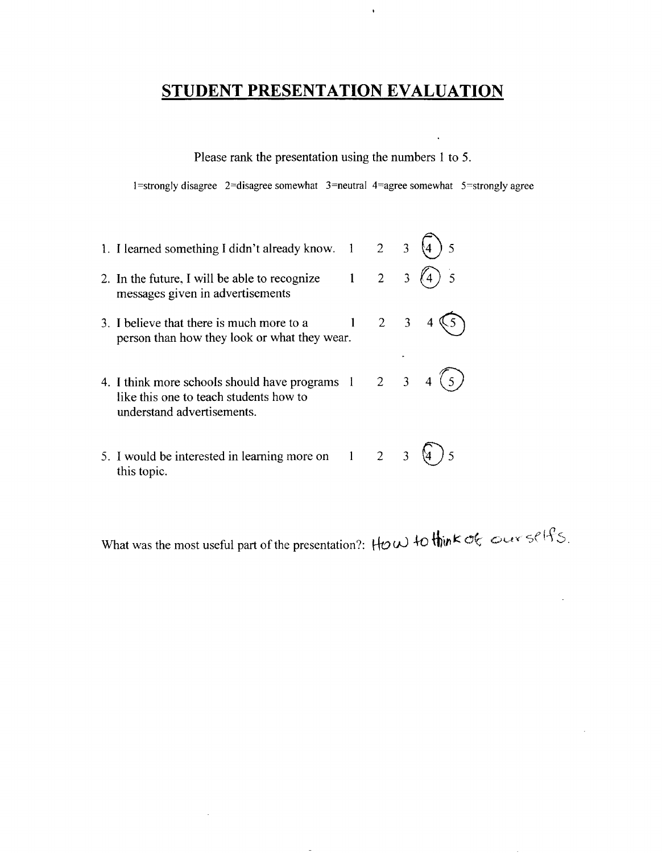$\hat{\textbf{r}}$ 

Please rank the presentation using the numbers 1 to 5.

1 =strongly disagree 2=disagree somewhat 3=neutral 4=agree somewhat 5=strongly agree

| 1. I learned something I didn't already know. 1                                                                        | $2^{\circ}$         | $\overline{3}$ |  |
|------------------------------------------------------------------------------------------------------------------------|---------------------|----------------|--|
| 2. In the future, I will be able to recognize<br>messages given in advertisements                                      | $\overline{2}$      | $\overline{3}$ |  |
| 3. I believe that there is much more to a<br>person than how they look or what they wear.                              | $2 \quad 3$         |                |  |
| 4. I think more schools should have programs 1<br>like this one to teach students how to<br>understand advertisements. | $2 \quad 3 \quad 4$ |                |  |
| 5. I would be interested in learning more on 1<br>this topic.                                                          | $\overline{2}$      |                |  |

 $\bar{\gamma}$ 

What was the most useful part of the presentation?: How to think of our selfs.

 $\Box$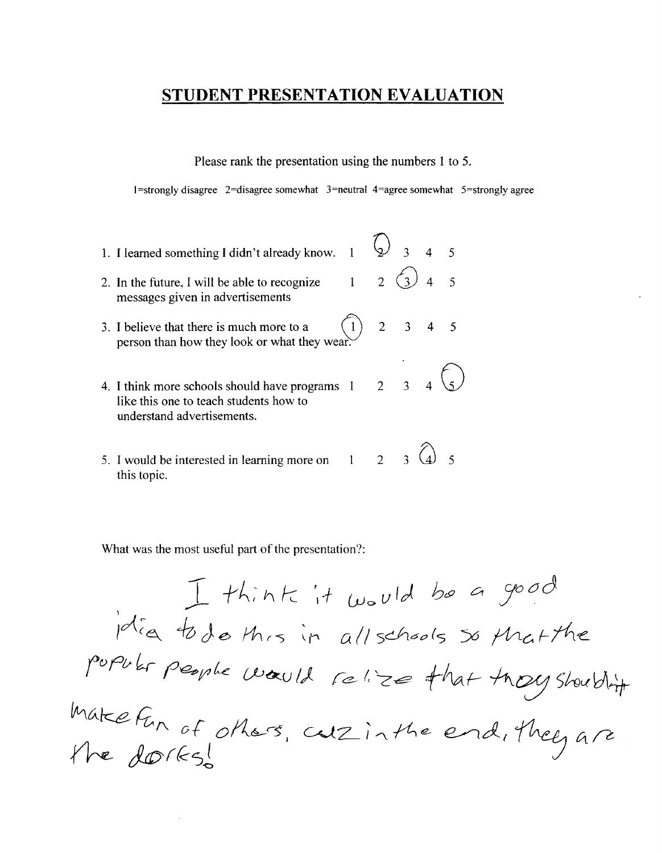Please rank the presentation using the numbers 1 to 5.

I=strongly disagree 2=disagree somewhat 3=neutral 4=agree somewhat 5=stronglyagree

- 1. I learned something I didn't already know.  $\begin{array}{ccc} 1 & \textcircled{2} & 3 & 4 & 5 \end{array}$  $2 \bigcirc 3$  4 5 2. **In** the future, I will be able to recognize  $\mathbf{1}$ messages given in advertisements 3. I believe that there is much more to a  $\begin{pmatrix} 1 \end{pmatrix}$  person than how they look or what they wear. 2 3 4 5  $_3$  4  $\binom{2}{5}$  $2<sup>1</sup>$ 4. I think more schools should have programs like this one to teach students how to understand advertisements.
- 5. I would be interested in learning more on this topic. 2 3 (4) 5

What was the most useful part of the presentation?:

 $I$  think it would Idia to do this in all schools so that the popular people would relize that thoughouthit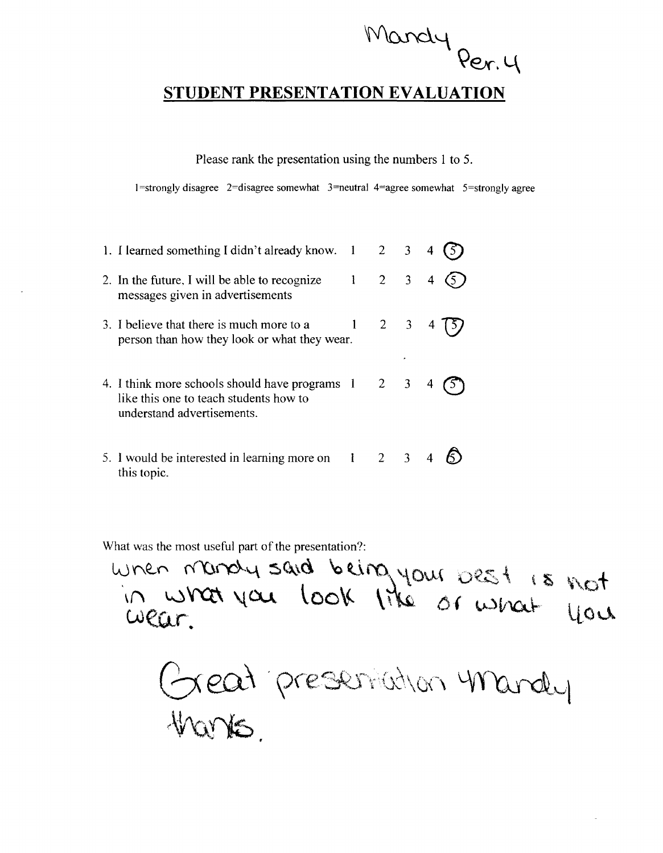$WQnclq$ **Qex-. L\** 

Please rank the presentation using the numbers 1 to 5.

 $1$ =strongly disagree  $2$ =disagree somewhat  $3$ =neutral  $4$ =agree somewhat  $5$ =strongly agree

| 1. I learned something I didn't already know. 1 2 3                                                                        |                     |  |                         |
|----------------------------------------------------------------------------------------------------------------------------|---------------------|--|-------------------------|
| 2. In the future, I will be able to recognize<br>messages given in advertisements                                          | $1 \quad 2 \quad 3$ |  | $\overline{\mathbf{4}}$ |
| 3. I believe that there is much more to a<br>person than how they look or what they wear.                                  | $1 \quad 2 \quad 3$ |  | $\overline{4}$          |
| 4. I think more schools should have programs 1 2 3<br>like this one to teach students how to<br>understand advertisements. |                     |  |                         |
| 5. I would be interested in learning more on $1 \t 2 \t 3$<br>this topic.                                                  |                     |  |                         |

What was the most useful part of the presentation?:

 $\kappa$ ot  $\mu$ ou

 $Q$ ell $\Gamma$  $V$ u $\omega$  to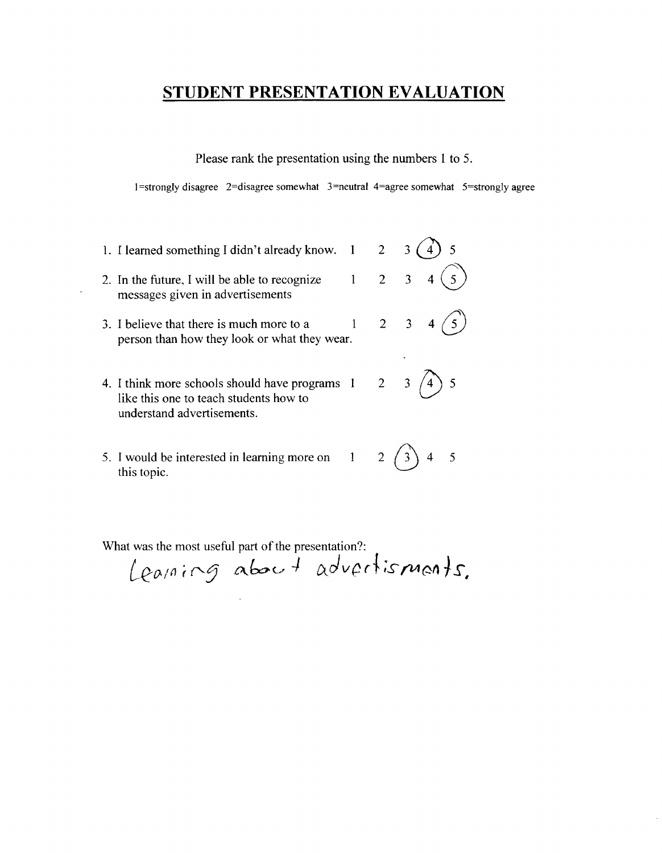Please rank the presentation using the numbers 1 to 5.

 $1 =$ strongly disagree  $2 =$ disagree somewhat  $3 =$ neutral  $4 =$ agree somewhat  $5 =$ strongly agree

- 1. I learned something I didn't already know.  $1 \quad 2 \quad 3 \quad (4) \quad 5$ 2. In the future, I will be able to recognize  $1 \quad 2 \quad 3 \quad 4 \quad 5$ messages given in advertisements 3. I believe that there is much more to a  $1 \quad 2 \quad 3 \quad 4$ person than how they look or what they wear. 4. I think more schools should have programs  $1 \quad 2 \quad 3 \quad 4$ ) 5 like this one to teach students how to understand advertisements.
- 5. I would be interested in learning more on  $1 \t 2 \t 3 \t 4 \t 5$ this topic.

Learning about advertisments.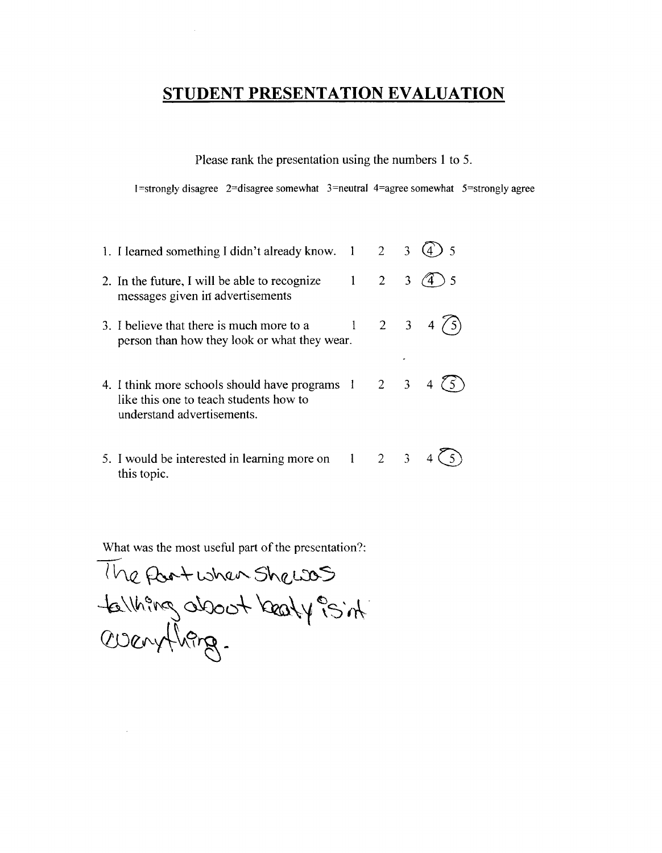Please rank the presentation using the numbers 1 to 5.

I =strongly disagree 2=disagree somewhat 3=neutral 4=agree somewhat 5=strongly agree

| 1. I learned something I didn't already know. 1                                                                                          |                             | $\overline{2}$ | 3 <sup>7</sup> |                     |
|------------------------------------------------------------------------------------------------------------------------------------------|-----------------------------|----------------|----------------|---------------------|
| 2. In the future, I will be able to recognize<br>messages given in advertisements                                                        |                             | $2^{\circ}$    | 3 <sup>7</sup> |                     |
| 3. I believe that there is much more to a<br>person than how they look or what they wear.                                                | $1 \quad 2 \quad 3 \quad 4$ |                |                | $\langle 5 \rangle$ |
| 4. I think more schools should have programs $1 \quad 2 \quad 3$<br>like this one to teach students how to<br>understand advertisements. |                             |                |                |                     |
| 5. I would be interested in learning more on $1 \t 2 \t 3$<br>this topic.                                                                |                             |                |                |                     |

 $\frac{w}{|}$  $l$  he fort when Shew  $S$  $-4\pi\%$  oboot learly  $\%$  in  $$ cmeJ'-A\;f,~ *-*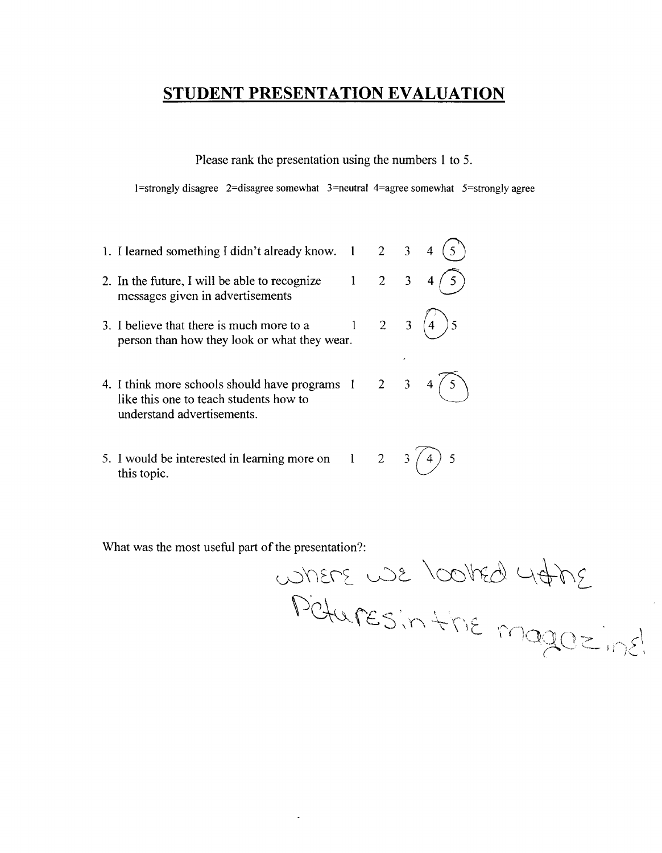Please rank the presentation using the numbers 1 to 5.

 $1$ =strongly disagree 2=disagree somewhat 3=neutral 4=agree somewhat 5=strongly agree

1. I learned something I didn't already know.  $1 \quad 2 \quad 3$ 2. In the future, I will be able to recognize  $1 \quad 2 \quad 3 \quad 4$ messages given in advertisements 3. I believe that there is much more to a  $1 \quad 2 \quad 3 \quad 4$  5 person than how they look or what they wear. 4. I think more schools should have programs 1 2 3<br>like this one to teach students how to understand advertisements. 5. I would be interested in learning more on  $1 \t 2 \t 3 \t 4$  5

What was the most useful part of the presentation?:

this topic.

 $27400$  barrow susing  $\mathcal{P}$ Ctures in the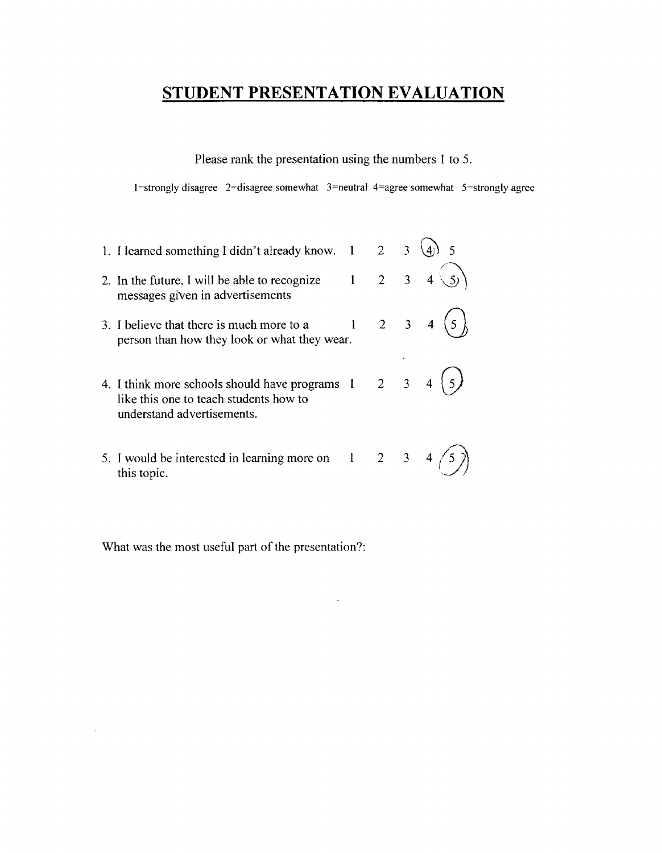Please rank the presentation using the numbers 1 to 5.

1=strongly disagree  $2$ =disagree somewhat 3=neutral 4=agree somewhat 5=strongly agree

1. I learned something I didn't already know.  $1 \quad 2 \quad 3 \quad (4)$  5 2. In the future, I will be able to recognize  $1$ messages given in advertisements 2 3 4  $\mathcal{S}$ 3. I believe that there is much more to a  $1 \t 2 \t 3$  person than how they look or what they wear. 4. I think more schools should have programs  $1 \quad 2 \quad 3$ like this one to teach students how to understand advertisements. 5. I would be interested in learning more on  $1 \quad 2 \quad 3 \quad 4 \quad (5)$ this topic.

What was the most useful part of the presentation?:

 $\cdot$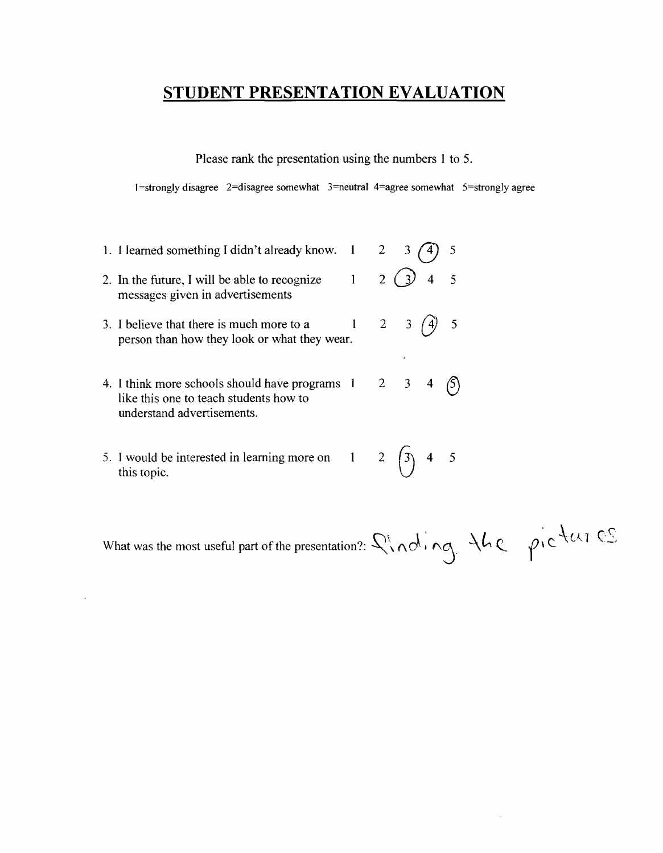Please rank the presentation using the numbers 1 to 5.

 $1$ =strongly disagree 2=disagree somewhat 3=neutral 4=agree somewhat 5=strongly agree

- 1. I learned something I didn't already know.  $1 \quad 2 \quad 3 \quad \text{(4)} \quad 5$ 2. In the future, I will be able to recognize  $1 \quad 2 \quad 3 \quad 4 \quad 5$ messages given in advertisements 3. I believe that there is much more to a  $1 \quad 2 \quad 3 \quad \text{(4)} \quad 5$ person than how they look or what they wear. 4. I think more schools should have programs  $1 \quad 2 \quad 3 \quad 4 \quad \textcircled{5}$ <br>like this one to teach students how to understand advertisements.
- 5. I would be interested in learning more on 1 2  $\begin{pmatrix} 3 & 4 & 5 \end{pmatrix}$ this topic.

What was the most useful part of the presentation?:  $\mathcal{Q}(n\delta, n\delta)$   $\mathcal{A}(\epsilon)$   $\beta$   $\mathcal{A}(\epsilon)$   $\mathcal{C}$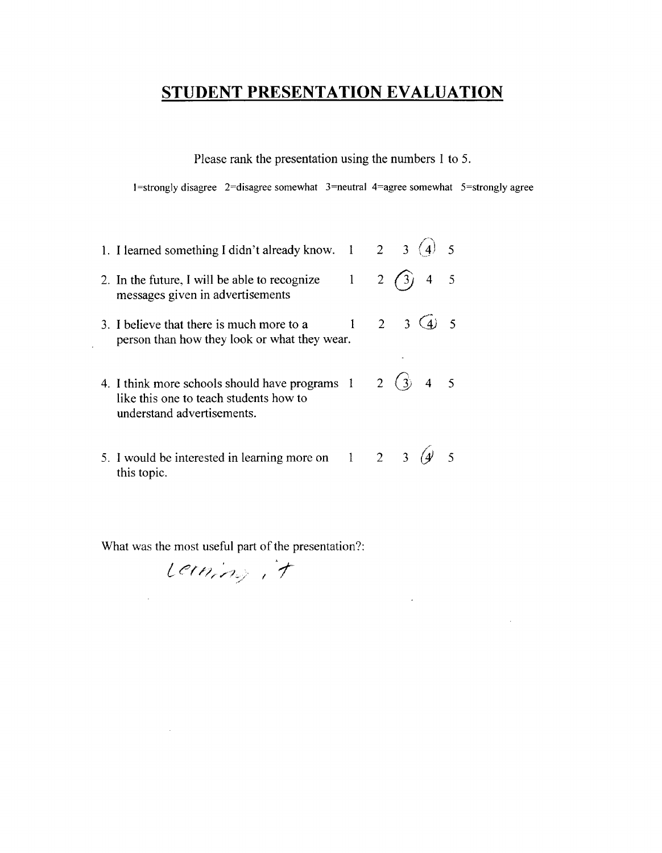Please rank the presentation using the numbers 1 to 5.

I=strongly disagree 2=disagree somewhat 3=neutral 4=agree somewhat 5=stronglyagree

 $\cdot$ 

- $2 \t3 \t(4) \t5$ 1. I learned something I didn't already know. 1 2. In the future, I will be able to recognize  $1 \quad 2 \quad (3) \quad 4 \quad 5$ messages given in advertisements 3. I believe that there is much more to a  $1 \quad 2 \quad 3 \quad 4$  5 person than how they look or what they wear. 4. I think more schools should have programs  $1 \quad 2 \quad (3) \quad 4 \quad 5$ like this one to teach students how to understand advertisements.
- 5. I would be interested in learning more on 1 2 3  $\left( \frac{4}{3} \right)$  5 this topic.

What was the most useful part of the presentation?:

Lerning, it

 $\mathcal{L}$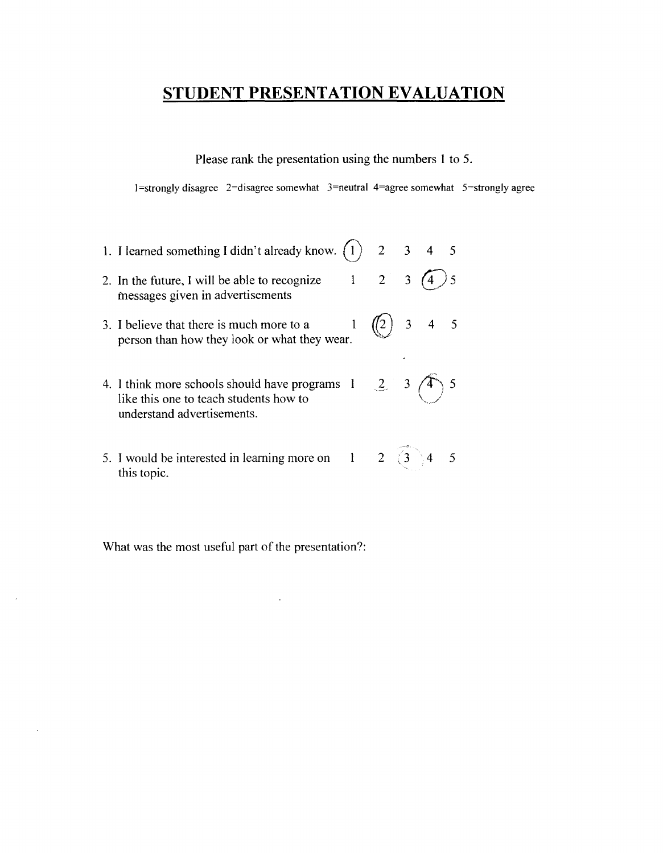Please rank the presentation using the numbers 1 to 5.

 $1$ =strongly disagree 2=disagree somewhat 3=neutral 4=agree somewhat 5=strongly agree

1. I learned something I didn't already know.  $(1)$ 2. In the future, I will be able to recognize  $1$ messages given in advertisements  $3. I$  believe that there is much more to a  $1$ person than how they look or what they wear. 4. I think more schools should have programs like this one to teach students how to understand advertisements. 5. I would be interested in learning more on this topic. 1 2 3 4 5 2 3  $(4)$  5  $\binom{7}{2}$  3 4 5  $2 \t3 \t(4) 5$  $\searrow$  $2 \binom{3}{3} 4 5$ 

What was the most useful part of the presentation?:

 $\cdot$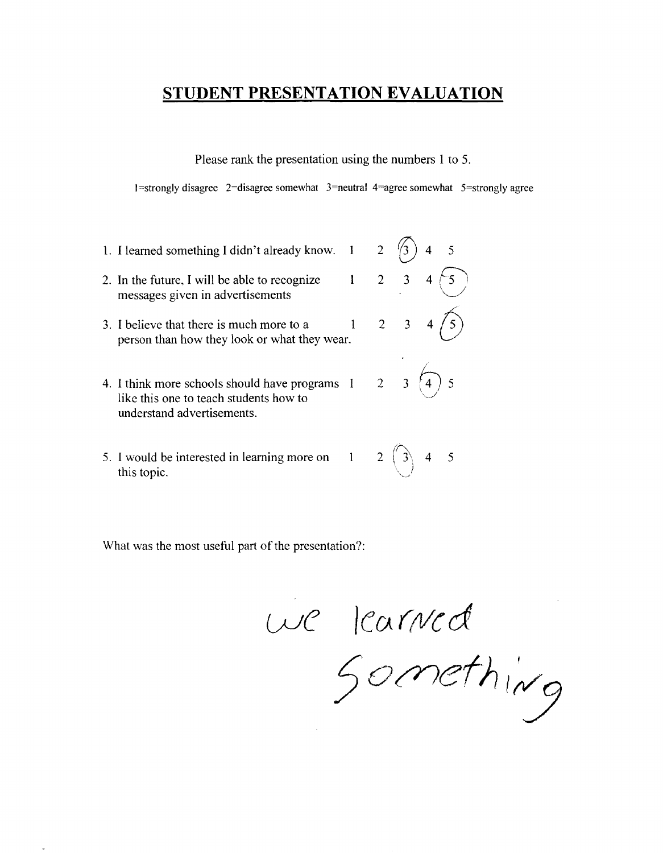Please rank the presentation using the numbers 1 to 5.

 $1 =$ strongly disagree  $2 =$ disagree somewhat  $3 =$ neutral  $4 =$ agree somewhat  $5 =$ strongly agree

- 1. I learned something I didn't already know.  $1 \quad 2 \quad$   $\sqrt{3}$ 2. In the future, I will be able to recognize  $1 \quad 2 \quad 3 \quad 4 \div 5$ messages given in advertisements \~ 3. I believe that there is much more to a  $1 \t 2 \t 3$ person than how they look or what they wear. 4. I think more schools should have programs  $1 \t 2 \t 3$ like this one to teach students how to understand advertisements.
- $\hat{\wedge}$ 5. I would be interested in learning more on  $1 \quad 2 \quad | \quad 3 \quad 4 \quad 5$ this topic.

*GJC /cv((Vcd* 

 $7^{\circ}$ (' $^{11}$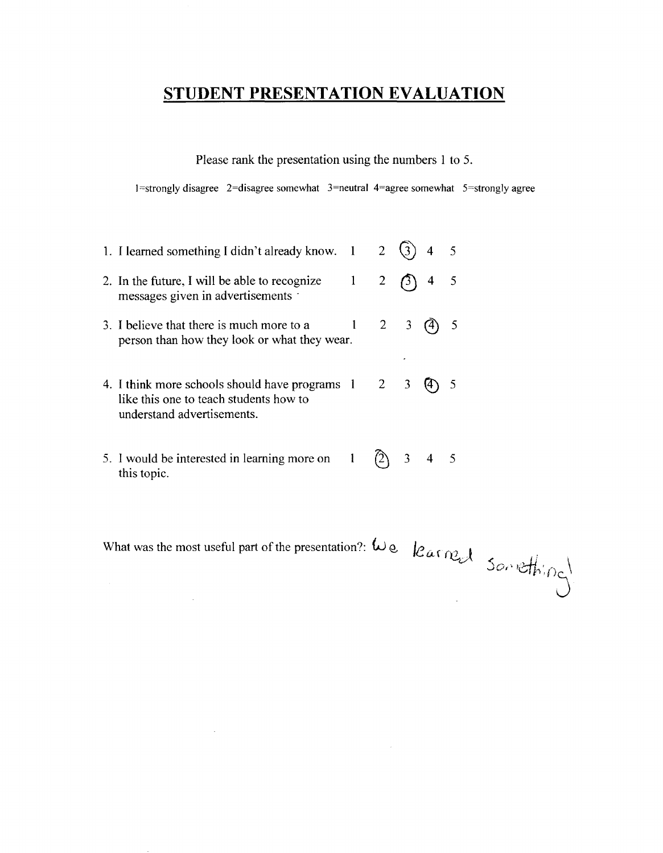Please rank the presentation using the numbers 1 to 5.

 $1$ =strongly disagree 2=disagree somewhat 3=neutral 4=agree somewhat 5=strongly agree

| 1. I learned something I didn't already know. 1                                                                                          | $\overline{2}$ |             | $\overline{4}$ |  |
|------------------------------------------------------------------------------------------------------------------------------------------|----------------|-------------|----------------|--|
| 2. In the future, I will be able to recognize<br>messages given in advertisements                                                        | 2              | $\beta$     | $\overline{4}$ |  |
| 3. I believe that there is much more to a<br>person than how they look or what they wear.                                                |                | $2 \quad 3$ | (4)            |  |
| 4. I think more schools should have programs $1 \quad 2 \quad 3$<br>like this one to teach students how to<br>understand advertisements. |                |             |                |  |

5. I would be interested in learning more on  $\begin{pmatrix} 1 & 2 \end{pmatrix}$  3 4 5 this topic.

 $\sim 10$ 

 $\sim$   $\omega$ 

What was the most useful part of the presentation?: We.  $\text{Rarr}_{\text{max}}$  Something

 $\sim 10^6$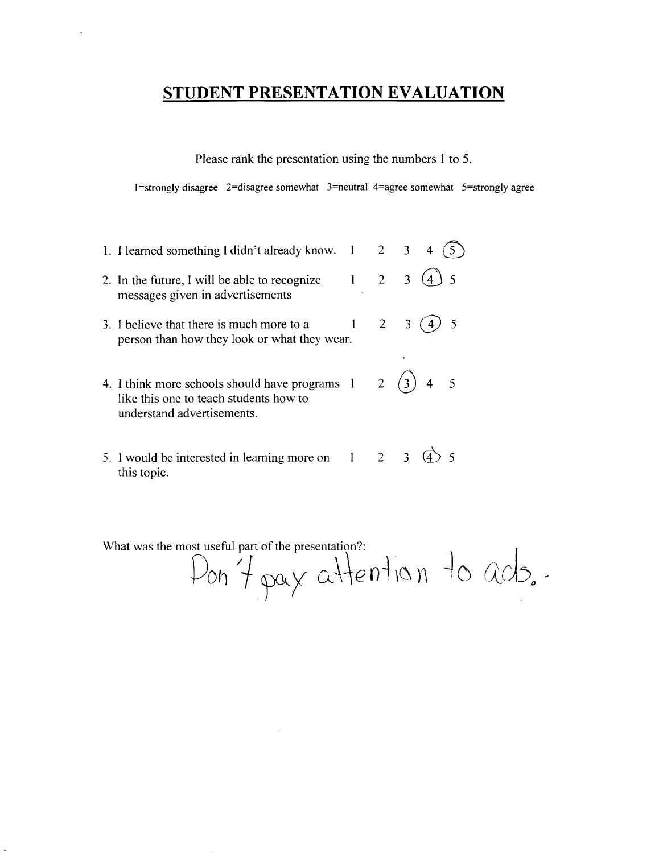Please rank the presentation using the numbers 1 to 5.

 $1$ =strongly disagree 2=disagree somewhat 3=neutral 4=agree somewhat 5=strongly agree

- 1. I learned something I didn't already know.  $1 \quad 2 \quad 3 \quad 4 \quad (5)$ 2. In the future, I will be able to recognize  $1 \quad 2 \quad 3 \quad (4) \quad 5$ messages given in advertisements 3. I believe that there is much more to a  $1 \quad 2 \quad 3 \quad (4) \quad 5$ person than how they look or what they wear. 4. I think more schools should have programs  $1 \quad 2 \quad (3)$  4 5
- like this one to teach students how to understand advertisements.
- 5. I would be interested in learning more on  $1 \quad 2 \quad 3 \quad (4)$  5 this topic.

Pon 7 pay attention to ads.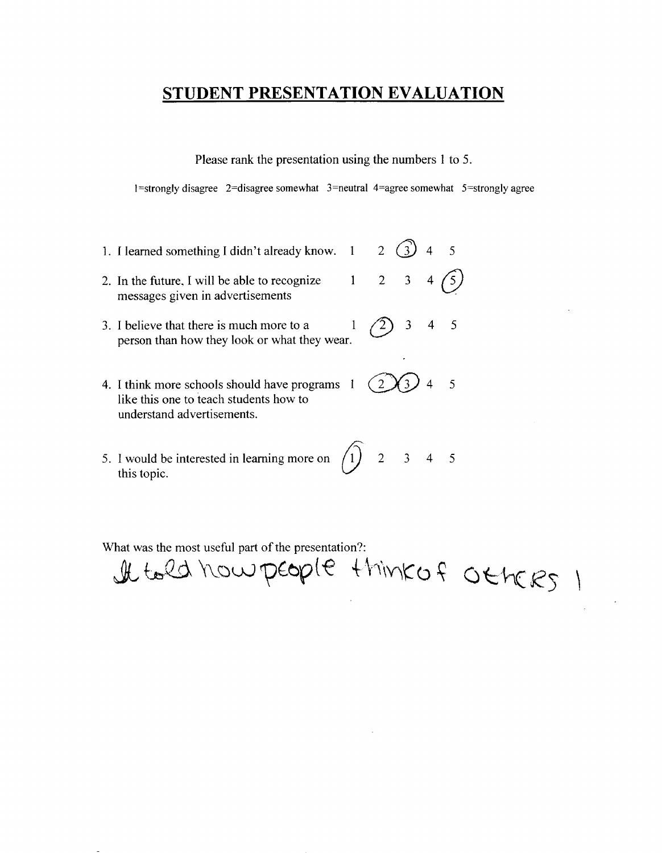Please rank the presentation using the numbers 1 to 5.

 $1$ =strongly disagree  $2$ =disagree somewhat  $3$ =neutral 4=agree somewhat  $5$ =strongly agree

- 1. I learned something I didn't already know.  $1 \quad 2 \quad (3)$  4 5
- 2. In the future, I will be able to recognize  $1 \quad 2 \quad 3 \quad 4 \quad \text{(5)}$ messages given in advertisements
- 3. I believe that there is much more to a  $1 / 2$  3 4 5 person than how they look or what they wear.
- 4. I think more schools should have programs  $(2 \times 3)$  4 5 like this one to teach students how to understand advertisements.
- 5. I would be interested in learning more on  $\begin{pmatrix} 1 \end{pmatrix}$  2 3 4 5 this topic.

What was the most useful part of the presentation?: It told how people think of Others 1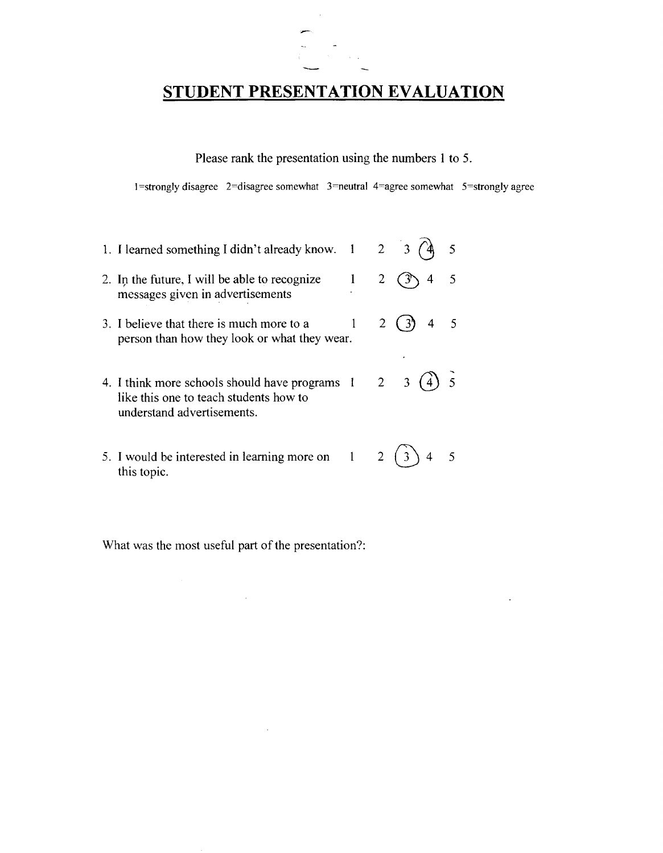

Please rank the presentation using the numbers 1 to 5.

I =strongly disagree 2=disagree somewhat 3=neutral 4=agree somewhat 5=strongly agree

 $\ddot{\phantom{a}}$ 

| 1. I learned something I didn't already know.                                                                          |  | $2 \quad 3$    |  |
|------------------------------------------------------------------------------------------------------------------------|--|----------------|--|
| 2. In the future, I will be able to recognize<br>messages given in advertisements                                      |  | 4              |  |
| 3. I believe that there is much more to a<br>person than how they look or what they wear.                              |  | 4 <sub>5</sub> |  |
| 4. I think more schools should have programs 1<br>like this one to teach students how to<br>understand advertisements. |  | $2 \quad 3$    |  |
| 5. I would be interested in learning more on 1<br>this topic                                                           |  |                |  |

What was the most useful part of the presentation?:

 $\sim$ 

 $\sim$ 

this topic.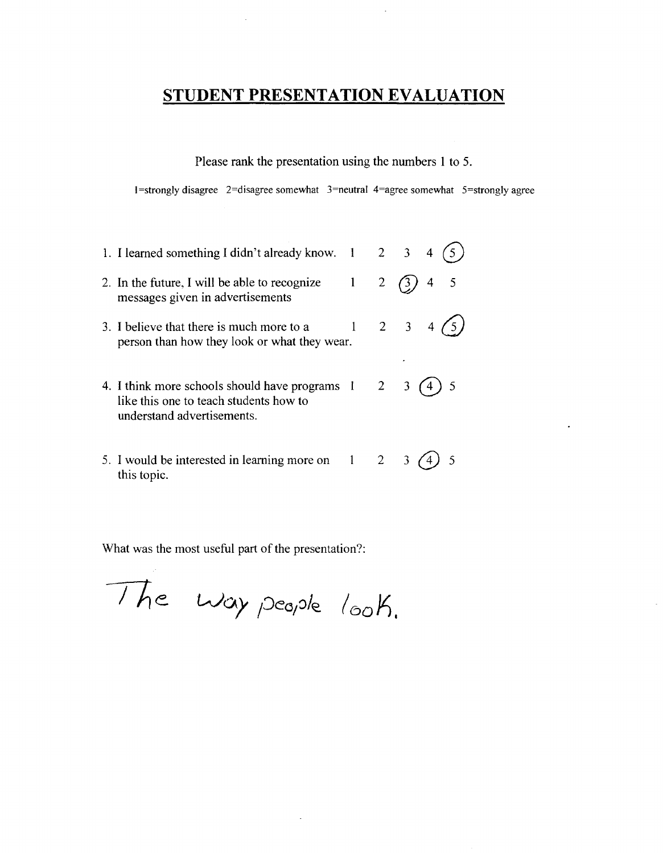Please rank the presentation using the numbers 1 to *S.* 

 $1$ =strongly disagree 2=disagree somewhat 3=neutral 4=agree somewhat 5=strongly agree

| 1. I learned something I didn't already know. $1 \quad 2 \quad 3 \quad 4$                                                                |                |                       |
|------------------------------------------------------------------------------------------------------------------------------------------|----------------|-----------------------|
| 2. In the future, I will be able to recognize<br>messages given in advertisements                                                        | 2 <sup>1</sup> | $\overline{4}$<br>(3) |
| 3. I believe that there is much more to a<br>person than how they look or what they wear.                                                |                | 2 3 4 (5)             |
| 4. I think more schools should have programs $1 \quad 2 \quad 3$<br>like this one to teach students how to<br>understand advertisements. |                |                       |
| 5. I would be interested in learning more on 1                                                                                           |                |                       |

What was the most useful part of the presentation?:

this topic.

The way people look.

 $\ddot{\phantom{a}}$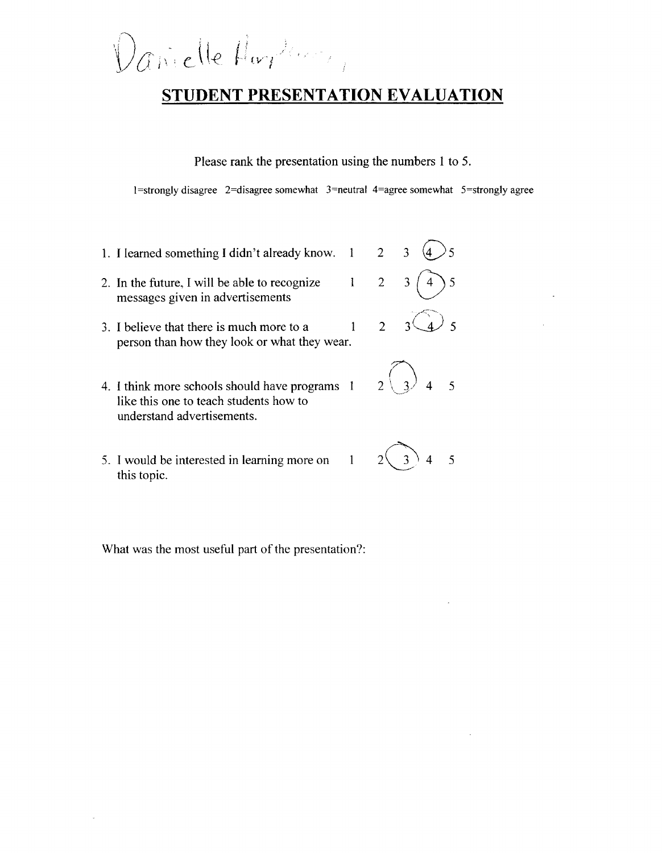$\left(\nu^{\alpha}\right)^{\frac{1}{2}}$ 

Please rank the presentation using the numbers 1 to 5.

1=strongly disagree 2=disagree somewhat  $3$ =neutral 4=agree somewhat 5=strongly agree

- 1. I learned something I didn't already know.  $1 \t 2 \t 3$
- 2. In the future, I will be able to recognize  $1 \quad 2$ messages given in advertisements
- 3. I believe that there is much more to a  $1 \quad 2$ person than how they look or what they wear.
- 4. I think more schools should have programs 1 like this one to teach students how to understand advertisements.
- 5. I would be interested in learning more on  $1 \quad 2 \quad 3 \quad 4 \quad 5$ this topic.



- 5
-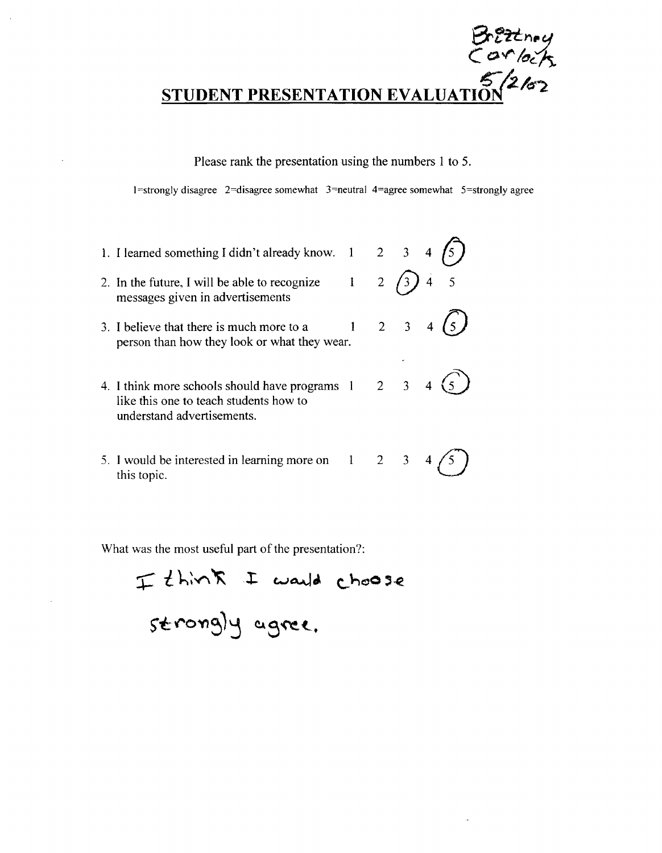$D$ t-c $n$ ey  $C$  or lock

Please rank the presentation using the numbers 1 to 5.

 $1$ =strongly disagree 2=disagree somewhat 3=neutral 4=agree somewhat 5=strongly agree

- 1. I learned something I didn't already know.  $1 \quad 2 \quad 3 \quad 4 \quad (5)$ 2. In the future, I will be able to recognize  $1 \quad 2 \quad \boxed{3}$  4 5 messages given in advertisements
- 3. I believe that there is much more to a  $1 \quad 2 \quad 3 \quad 4 \quad (5)$ person than how they look or what they wear.
- 4. I think more schools should have programs  $1 \quad 2 \quad 3 \quad 4 \quad (\underline{5})$ like this one to teach students how to understand advertisements.
- 5. I would be interested in learning more on  $1 \quad 2 \quad 3 \quad 4 \bigodot$  this topic.

I think I would choose<br>strongly agree.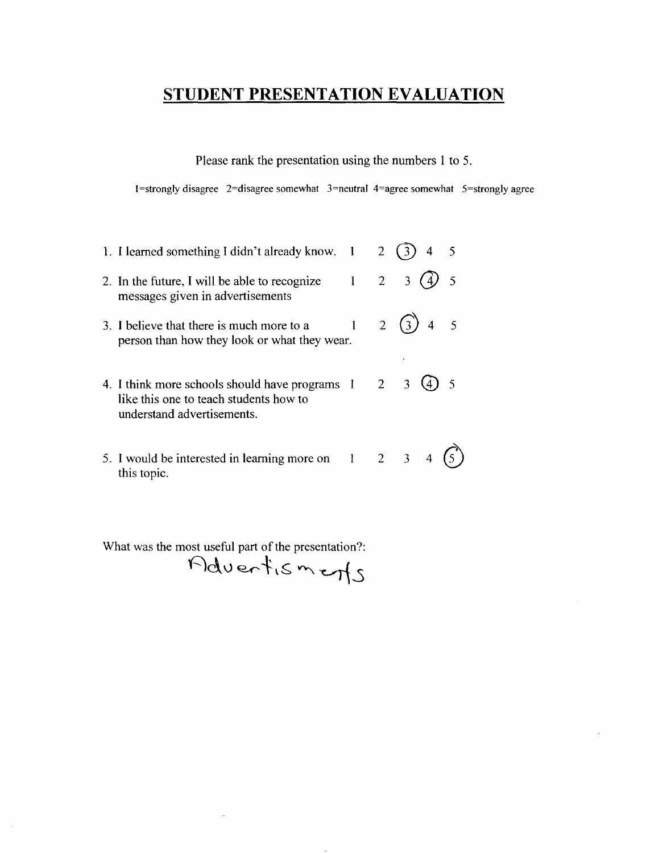Please rank the presentation using the numbers 1 to 5.

1=strongly disagree 2=disagree somewhat  $3$ =neutral 4=agree somewhat  $5$ =strongly agree

| 1. I learned something I didn't already know. 1                                                                        |                     | $\overline{2}$ |                           |   |
|------------------------------------------------------------------------------------------------------------------------|---------------------|----------------|---------------------------|---|
| 2. In the future, I will be able to recognize<br>messages given in advertisements                                      | $\mathbf{1}$        | $2^{\circ}$    | $\mathbf{3}$              | 5 |
| 3. I believe that there is much more to a<br>person than how they look or what they wear.                              |                     |                | 2 $(3)$<br>$\overline{4}$ |   |
| 4. I think more schools should have programs 1<br>like this one to teach students how to<br>understand advertisements. |                     | $2^{\circ}$    |                           |   |
| 5. I would be interested in learning more on<br>this topic.                                                            | $1 \quad 2 \quad 3$ |                |                           |   |

What was the most useful part of the presentation?:

 $\mathcal{A}$ 

 $Pdventismetry$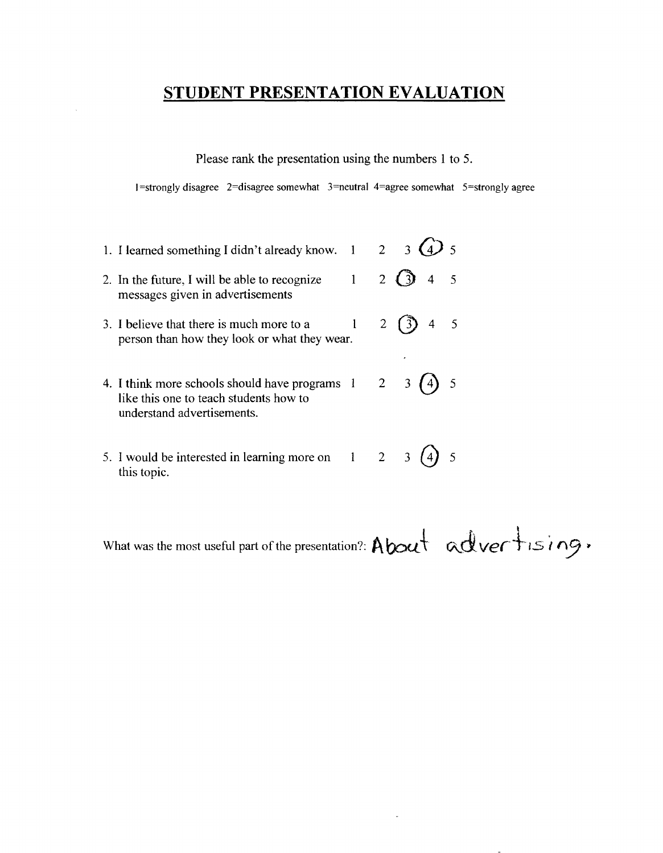Please rank the presentation using the numbers 1 to 5.

I=strongly disagree 2=disagree somewhat  $3=$ neutral 4=agree somewhat  $5=$ strongly agree

| 1. I learned something I didn't already know. 1                                                                        |   |             | $2 \quad 3$                      |
|------------------------------------------------------------------------------------------------------------------------|---|-------------|----------------------------------|
| 2. In the future, I will be able to recognize<br>messages given in advertisements                                      | 1 | $2^{\circ}$ | $\overline{4}$<br>$\overline{5}$ |
| 3. I believe that there is much more to a<br>person than how they look or what they wear.                              |   |             | 4 <sub>5</sub><br>$\binom{3}{}$  |
| 4. I think more schools should have programs 1<br>like this one to teach students how to<br>understand advertisements. |   |             | 5<br>$2 \quad 3$                 |
| 5. I would be interested in learning more on $1 \t 2$<br>this topic.                                                   |   |             |                                  |

What was the most useful part of the presentation?:  $\Delta$  bout  $\alpha$  adver  $\pm$  is  $ing$ .

 $\sim$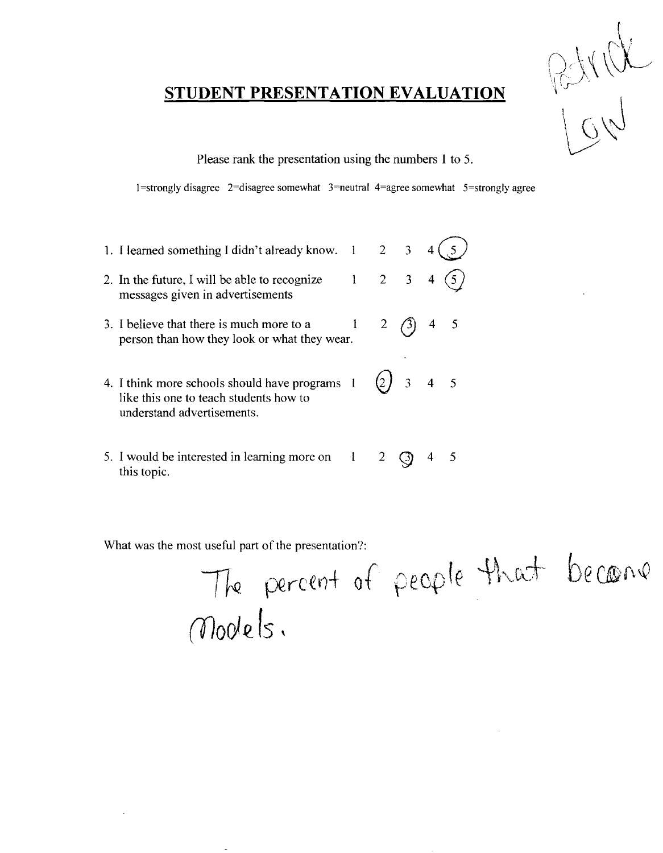

Please rank the presentation using the numbers 1 to 5.

1=strongly disagree 2=disagree somewhat  $3$ =neutral 4=agree somewhat 5=strongly agree

| 1. I learned something I didn't already know.                                                                          | $\blacksquare$ |                | $2 \quad 3$    |                     |  |
|------------------------------------------------------------------------------------------------------------------------|----------------|----------------|----------------|---------------------|--|
| 2. In the future, I will be able to recognize<br>messages given in advertisements                                      |                | $\overline{2}$ | 3 <sup>7</sup> |                     |  |
| 3. I believe that there is much more to a<br>person than how they look or what they wear.                              |                |                |                | $\overline{4}$      |  |
| 4. I think more schools should have programs 1<br>like this one to teach students how to<br>understand advertisements. |                | (2)            |                | $3 \quad 4 \quad 5$ |  |
| 5. I would be interested in learning more on 1                                                                         |                |                |                |                     |  |

What was the most useful part of the presentation?:

this topic.

 $\bar{z}$ 

The percent of people that Models.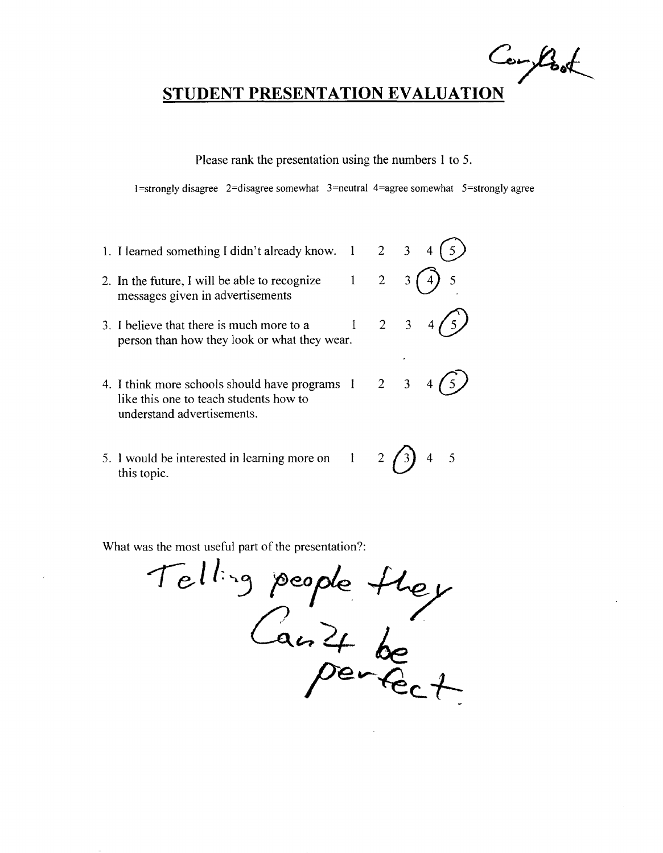$C_{o}$  took

Please rank the presentation using the numbers 1 to 5.

1 =strongly disagree 2=disagree somewhat 3=neutral 4=agree somewhat 5=stronglyagree

- 1. I learned something I didn't already know.  $1 \quad 2 \quad 3$ 2. In the future, I will be able to recognize  $1 \quad 2 \quad 3$ messages given in advertisements 3. I believe that there is much more to a  $1 \t 2 \t 3$ person than how they look or what they wear.
- 4. I think more schools should have programs 1 2 3 like this one to teach students how to understand advertisements.
- 5. I would be interested in learning more on  $1 \t 2 \t 3$  4 5 this topic.

s the most useful part of the presentation?:<br>
Tell: 3 people the  $Ca_n^2 + ba$  $7~\text{e}_C$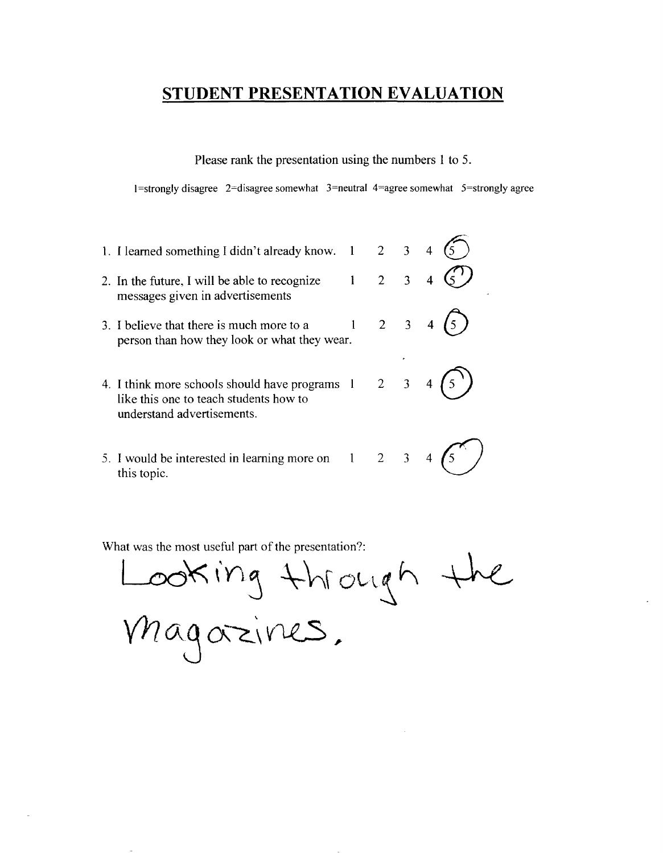Please rank the presentation using the numbers 1 to 5.

 $1$ =strongly disagree 2=disagree somewhat 3=neutral 4=agree somewhat 5=strongly agree

| 1. I learned something I didn't already know.                                                                          |                     | $2 \quad 3$         |  |
|------------------------------------------------------------------------------------------------------------------------|---------------------|---------------------|--|
| 2. In the future, I will be able to recognize<br>messages given in advertisements                                      | $1 \quad 2 \quad 3$ |                     |  |
| 3. I believe that there is much more to a<br>person than how they look or what they wear.                              |                     | $2 \quad 3 \quad 4$ |  |
| 4. I think more schools should have programs 1<br>like this one to teach students how to<br>understand advertisements. |                     | $2 \quad 3$         |  |
| 5. I would be interested in learning more on $1 \t 2 \t 3 \t 4$<br>this topic.                                         |                     |                     |  |

Looking through  $V$ *h* agazines.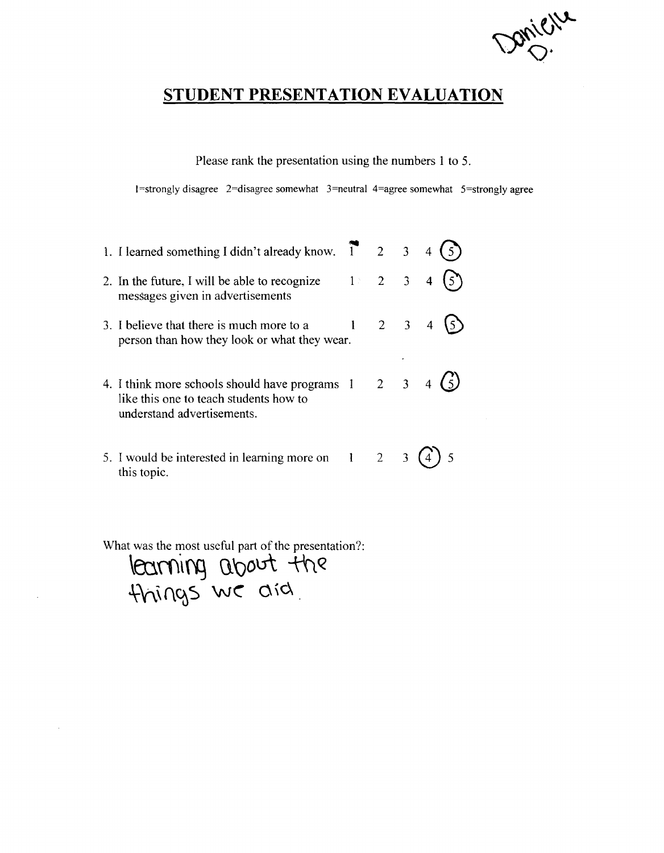Donieu

Please rank the presentation using the numbers 1 to 5.

 $1$ =strongly disagree 2=disagree somewhat 3=neutral 4=agree somewhat 5=strongly agree

| 1. I learned something I didn't already know. $\overrightarrow{1}$ 2 3                                                                           |       |                     |  |  |
|--------------------------------------------------------------------------------------------------------------------------------------------------|-------|---------------------|--|--|
| 2. In the future, I will be able to recognize $1 \times 2 = 3 = 4$<br>messages given in advertisements                                           |       |                     |  |  |
| 3. I believe that there is much more to a<br>person than how they look or what they wear.                                                        | $1 -$ | $2 \quad 3 \quad 4$ |  |  |
| 4. I think more schools should have programs $1 \quad 2 \quad 3 \quad 4$<br>like this one to teach students how to<br>understand advertisements. |       |                     |  |  |
| 5. I would be interested in learning more on 1<br>this topic.                                                                                    |       | $2^{\circ}$         |  |  |

**\eo.ro'\{'fj Ct'Qout** -tftQ -t\\\(\~S **we o,c\**